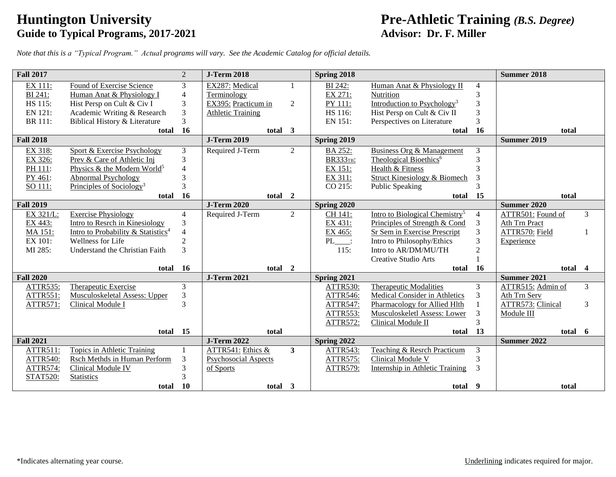# **Guide to Typical Programs, 2017-2021**

#### **Huntington University**<br> **Pre-Athletic Training** *(B.S. Degree)*<br> **Advisor: Dr. F. Miller**<br> **Advisor: Dr. F. Miller**

*Note that this is a "Typical Program." Actual programs will vary. See the Academic Catalog for official details.*

| <b>Fall 2017</b> |                                                | $\overline{2}$ | <b>J-Term 2018</b>          |                | Spring 2018     |                                            |                | <b>Summer 2018</b> |   |
|------------------|------------------------------------------------|----------------|-----------------------------|----------------|-----------------|--------------------------------------------|----------------|--------------------|---|
| EX 111:          | Found of Exercise Science                      | 3              | EX287: Medical              |                | BI 242:         | Human Anat & Physiology II                 | 4              |                    |   |
| BI 241:          | Human Anat & Physiology I                      | $\overline{4}$ | Terminology                 |                | EX 271:         | Nutrition                                  | 3              |                    |   |
| HS 115:          | Hist Persp on Cult & Civ I                     | $\mathfrak{Z}$ | EX395: Practicum in         | 2              | PY 111:         | Introduction to Psychology <sup>3</sup>    | 3              |                    |   |
| EN 121:          | Academic Writing & Research                    | $\overline{3}$ | <b>Athletic Training</b>    |                | HS 116:         | Hist Persp on Cult & Civ II                | 3              |                    |   |
| BR 111:          | Biblical History & Literature                  | 3              |                             |                | EN 151:         | Perspectives on Literature                 | 3              |                    |   |
|                  | total                                          | 16             | total                       | 3              |                 | total                                      | 16             | total              |   |
| <b>Fall 2018</b> |                                                |                | <b>J-Term 2019</b>          |                | Spring 2019     |                                            |                | <b>Summer 2019</b> |   |
| EX 318:          | <b>Sport &amp; Exercise Psychology</b>         | $\mathfrak{Z}$ | Required J-Term             | $\overline{2}$ | BA 252:         | Business Org & Management                  | 3              |                    |   |
| EX 326:          | Prev & Care of Athletic Inj                    | 3              |                             |                | <b>BR333TB:</b> | Theological Bioethics <sup>6</sup>         | 3              |                    |   |
| PH 111:          | Physics & the Modern World <sup>5</sup>        | $\overline{4}$ |                             |                | EX 151:         | Health & Fitness                           | $\mathbf{3}$   |                    |   |
| PY 461:          | <b>Abnormal Psychology</b>                     | 3              |                             |                | EX 311:         | <b>Struct Kinesiology &amp; Biomech</b>    |                |                    |   |
| SO 111:          | Principles of Sociology <sup>3</sup>           | 3              |                             |                | CO 215:         | <b>Public Speaking</b>                     |                |                    |   |
|                  | total                                          | <b>16</b>      | total 2                     |                |                 | total                                      | 15             | total              |   |
| <b>Fall 2019</b> |                                                |                | <b>J-Term 2020</b>          |                | Spring 2020     |                                            |                | <b>Summer 2020</b> |   |
| EX 321/L:        | <b>Exercise Physiology</b>                     | $\overline{4}$ | Required J-Term             | $\overline{2}$ | CH 141:         | Intro to Biological Chemistry <sup>5</sup> | $\overline{4}$ | ATTR501: Found of  | 3 |
| EX 443:          | Intro to Resrch in Kinesiology                 | 3              |                             |                | EX 431:         | Principles of Strength & Cond              | 3              | Ath Trn Pract      |   |
| MA 151:          | Intro to Probability & Statistics <sup>4</sup> | $\overline{4}$ |                             |                | EX 465:         | Sr Sem in Exercise Prescript               | 3              | ATTR570: Field     |   |
| EX 101:          | Wellness for Life                              | $\overline{2}$ |                             |                | PL              | Intro to Philosophy/Ethics                 | 3              | Experience         |   |
| MI 285:          | Understand the Christian Faith                 | $\mathcal{E}$  |                             |                | 115:            | Intro to AR/DM/MU/TH                       | $\overline{2}$ |                    |   |
|                  |                                                |                |                             |                |                 | Creative Studio Arts                       |                |                    |   |
|                  | total                                          | <b>16</b>      | total 2                     |                |                 | total                                      | <b>16</b>      | total 4            |   |
| <b>Fall 2020</b> |                                                |                | <b>J-Term 2021</b>          |                | Spring 2021     |                                            |                | Summer 2021        |   |
| ATTR535:         | Therapeutic Exercise                           | $\overline{3}$ |                             |                | ATTR530:        | <b>Therapeutic Modalities</b>              | $\overline{3}$ | ATTR515: Admin of  | 3 |
| <b>ATTR551:</b>  | Musculoskeletal Assess: Upper                  | 3              |                             |                | <b>ATTR546:</b> | <b>Medical Consider in Athletics</b>       | 3              | Ath Trn Serv       |   |
| ATTR571:         | Clinical Module I                              | $\mathcal{R}$  |                             |                | ATTR547:        | Pharmacology for Allied Hlth               |                | ATTR573: Clinical  | 3 |
|                  |                                                |                |                             |                | <b>ATTR553:</b> | Musculoskeletl Assess: Lower               | 3              | Module III         |   |
|                  |                                                |                |                             |                | <b>ATTR572:</b> | Clinical Module II                         | 3              |                    |   |
|                  | total 15                                       |                | total                       |                |                 | total                                      | 13             | total 6            |   |
| <b>Fall 2021</b> |                                                |                | <b>J-Term 2022</b>          |                | Spring 2022     |                                            |                | Summer 2022        |   |
| <b>ATTR511:</b>  | <b>Topics in Athletic Training</b>             |                | ATTR541: Ethics &           | $\mathbf{3}$   | <b>ATTR543:</b> | <b>Teaching &amp; Resrch Practicum</b>     | 3              |                    |   |
| ATTR540:         | Rsch Methds in Human Perform                   | 3              | <b>Psychosocial Aspects</b> |                | ATTR575:        | Clinical Module V                          | 3              |                    |   |
| <b>ATTR574:</b>  | <b>Clinical Module IV</b>                      | 3              | of Sports                   |                | <b>ATTR579:</b> | <b>Internship in Athletic Training</b>     | 3              |                    |   |
| <b>STAT520:</b>  | <b>Statistics</b>                              | 3              |                             |                |                 |                                            |                |                    |   |
|                  | total                                          | <b>10</b>      | total 3                     |                |                 | total 9                                    |                | total              |   |